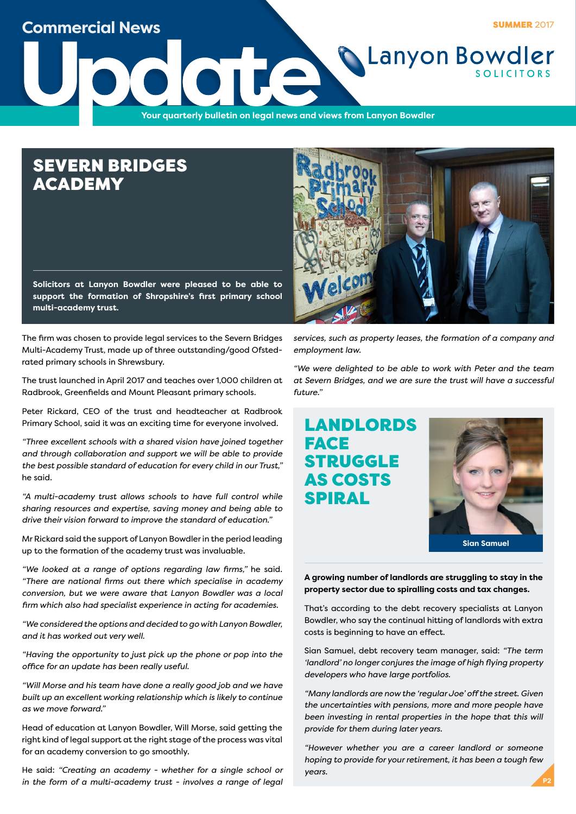

# SEVERN BRIDGES ACADEMY

**Solicitors at Lanyon Bowdler were pleased to be able to support the formation of Shropshire's first primary school multi-academy trust.**

The firm was chosen to provide legal services to the Severn Bridges Multi-Academy Trust, made up of three outstanding/good Ofstedrated primary schools in Shrewsbury.

The trust launched in April 2017 and teaches over 1,000 children at Radbrook, Greenfields and Mount Pleasant primary schools.

Peter Rickard, CEO of the trust and headteacher at Radbrook Primary School, said it was an exciting time for everyone involved.

*"Three excellent schools with a shared vision have joined together and through collaboration and support we will be able to provide the best possible standard of education for every child in our Trust,"* he said.

*"A multi-academy trust allows schools to have full control while sharing resources and expertise, saving money and being able to drive their vision forward to improve the standard of education."*

Mr Rickard said the support of Lanyon Bowdler in the period leading up to the formation of the academy trust was invaluable.

*"We looked at a range of options regarding law firms,"* he said. *"There are national firms out there which specialise in academy conversion, but we were aware that Lanyon Bowdler was a local firm which also had specialist experience in acting for academies.*

*"We considered the options and decided to go with Lanyon Bowdler, and it has worked out very well.*

*"Having the opportunity to just pick up the phone or pop into the office for an update has been really useful.*

*"Will Morse and his team have done a really good job and we have built up an excellent working relationship which is likely to continue as we move forward."*

Head of education at Lanyon Bowdler, Will Morse, said getting the right kind of legal support at the right stage of the process was vital for an academy conversion to go smoothly.

He said: *"Creating an academy - whether for a single school or in the form of a multi-academy trust - involves a range of legal* 

*services, such as property leases, the formation of a company and employment law.*

*"We were delighted to be able to work with Peter and the team at Severn Bridges, and we are sure the trust will have a successful future."*

# LANDLORDS **FACE** STRUGGLE AS COSTS SPIRAL



### **A growing number of landlords are struggling to stay in the property sector due to spiralling costs and tax changes.**

That's according to the debt recovery specialists at Lanyon Bowdler, who say the continual hitting of landlords with extra costs is beginning to have an effect.

Sian Samuel, debt recovery team manager, said: *"The term 'landlord' no longer conjures the image of high flying property developers who have large portfolios.* 

*"Many landlords are now the 'regular Joe' off the street. Given the uncertainties with pensions, more and more people have been investing in rental properties in the hope that this will provide for them during later years.*

*"However whether you are a career landlord or someone hoping to provide for your retirement, it has been a tough few years.*



**P2**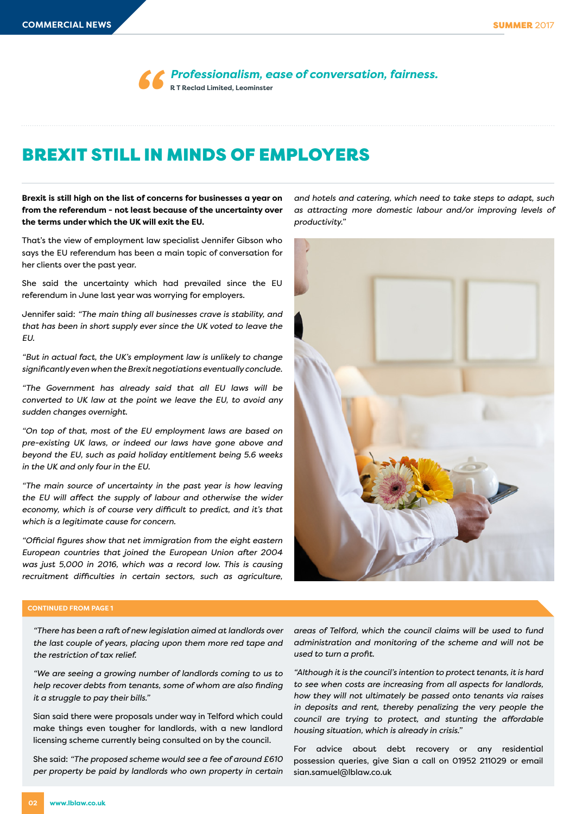*Professionalism, ease of conversation, fairness.* **R T Reclad Limited, Leominster** *''*

## BREXIT STILL IN MINDS OF EMPLOYERS

**Brexit is still high on the list of concerns for businesses a year on from the referendum - not least because of the uncertainty over the terms under which the UK will exit the EU.**

That's the view of employment law specialist Jennifer Gibson who says the EU referendum has been a main topic of conversation for her clients over the past year.

She said the uncertainty which had prevailed since the EU referendum in June last year was worrying for employers.

Jennifer said: *"The main thing all businesses crave is stability, and that has been in short supply ever since the UK voted to leave the EU.*

*"But in actual fact, the UK's employment law is unlikely to change significantly even when the Brexit negotiations eventually conclude.*

*"The Government has already said that all EU laws will be converted to UK law at the point we leave the EU, to avoid any sudden changes overnight.*

*"On top of that, most of the EU employment laws are based on pre-existing UK laws, or indeed our laws have gone above and beyond the EU, such as paid holiday entitlement being 5.6 weeks in the UK and only four in the EU.*

*"The main source of uncertainty in the past year is how leaving the EU will affect the supply of labour and otherwise the wider economy, which is of course very difficult to predict, and it's that which is a legitimate cause for concern.*

*"Official figures show that net immigration from the eight eastern European countries that joined the European Union after 2004 was just 5,000 in 2016, which was a record low. This is causing recruitment difficulties in certain sectors, such as agriculture,*  *and hotels and catering, which need to take steps to adapt, such as attracting more domestic labour and/or improving levels of productivity."*



#### **CONTINUED FROM PAGE 1**

*"There has been a raft of new legislation aimed at landlords over the last couple of years, placing upon them more red tape and the restriction of tax relief.*

*"We are seeing a growing number of landlords coming to us to help recover debts from tenants, some of whom are also finding it a struggle to pay their bills."*

Sian said there were proposals under way in Telford which could make things even tougher for landlords, with a new landlord licensing scheme currently being consulted on by the council.

She said: *"The proposed scheme would see a fee of around £610 per property be paid by landlords who own property in certain*  *areas of Telford, which the council claims will be used to fund administration and monitoring of the scheme and will not be used to turn a profit.*

*"Although it is the council's intention to protect tenants, it is hard to see when costs are increasing from all aspects for landlords, how they will not ultimately be passed onto tenants via raises in deposits and rent, thereby penalizing the very people the council are trying to protect, and stunting the affordable housing situation, which is already in crisis."*

For advice about debt recovery or any residential possession queries, give Sian a call on 01952 211029 or email sian.samuel@lblaw.co.uk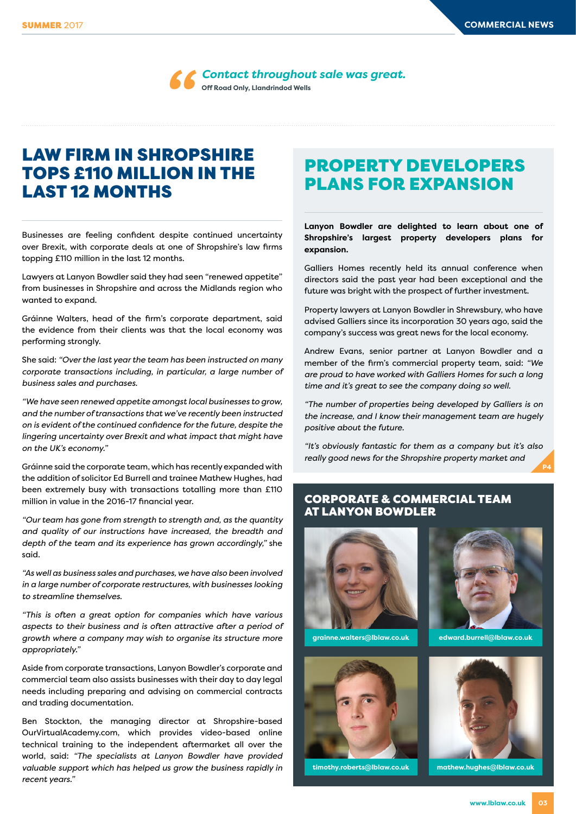

*Contact throughout sale was great.*

# LAW FIRM IN SHROPSHIRE TOPS £110 MILLION IN THE LAST 12 MONTHS

Businesses are feeling confident despite continued uncertainty over Brexit, with corporate deals at one of Shropshire's law firms topping £110 million in the last 12 months.

Lawyers at Lanyon Bowdler said they had seen "renewed appetite" from businesses in Shropshire and across the Midlands region who wanted to expand.

Gráinne Walters, head of the firm's corporate department, said the evidence from their clients was that the local economy was performing strongly.

She said: *"Over the last year the team has been instructed on many corporate transactions including, in particular, a large number of business sales and purchases.*

*"We have seen renewed appetite amongst local businesses to grow, and the number of transactions that we've recently been instructed on is evident of the continued confidence for the future, despite the lingering uncertainty over Brexit and what impact that might have on the UK's economy."*

Gráinne said the corporate team, which has recently expanded with the addition of solicitor Ed Burrell and trainee Mathew Hughes, had been extremely busy with transactions totalling more than £110 million in value in the 2016-17 financial year.

*"Our team has gone from strength to strength and, as the quantity and quality of our instructions have increased, the breadth and depth of the team and its experience has grown accordingly,"* she said.

*"As well as business sales and purchases, we have also been involved in a large number of corporate restructures, with businesses looking to streamline themselves.*

*"This is often a great option for companies which have various aspects to their business and is often attractive after a period of growth where a company may wish to organise its structure more appropriately."*

Aside from corporate transactions, Lanyon Bowdler's corporate and commercial team also assists businesses with their day to day legal needs including preparing and advising on commercial contracts and trading documentation.

Ben Stockton, the managing director at Shropshire-based OurVirtualAcademy.com, which provides video-based online technical training to the independent aftermarket all over the world, said: *"The specialists at Lanyon Bowdler have provided valuable support which has helped us grow the business rapidly in recent years."*

# PROPERTY DEVELOPERS PLANS FOR EXPANSION

**Lanyon Bowdler are delighted to learn about one of Shropshire's largest property developers plans for expansion.**

Galliers Homes recently held its annual conference when directors said the past year had been exceptional and the future was bright with the prospect of further investment.

Property lawyers at Lanyon Bowdler in Shrewsbury, who have advised Galliers since its incorporation 30 years ago, said the company's success was great news for the local economy.

Andrew Evans, senior partner at Lanyon Bowdler and a member of the firm's commercial property team, said: *"We are proud to have worked with Galliers Homes for such a long time and it's great to see the company doing so well.*

*"The number of properties being developed by Galliers is on the increase, and I know their management team are hugely positive about the future.*

*"It's obviously fantastic for them as a company but it's also really good news for the Shropshire property market and* 

### CORPORATE & COMMERCIAL TEAM AT LANYON BOWDLER



**grainne.walters@lblaw.co.uk** 





**P4**

**edward.burrell@lblaw.co.uk** 



**timothy.roberts@lblaw.co.uk mathew.hughes@lblaw.co.uk**